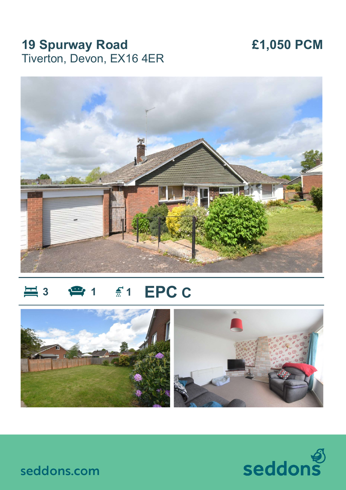## **19 Spurway Road** Tiverton, Devon, EX16 4ER

# £1,050 PCM



#### **EPC C**  $\equiv$  3  $\frac{f}{m}$  1





seddons.com